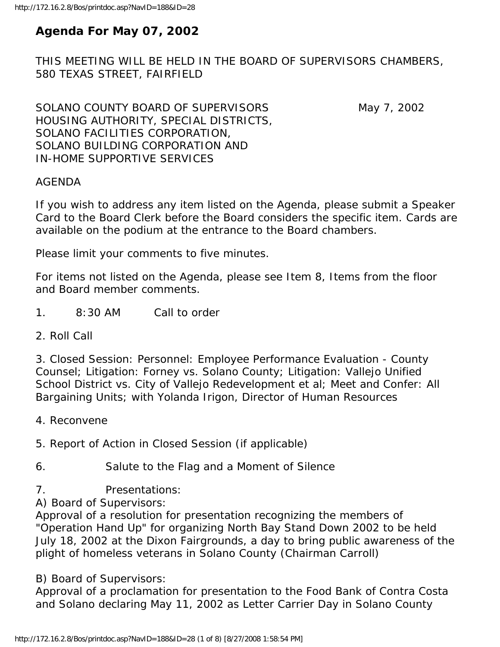# **Agenda For May 07, 2002**

THIS MEETING WILL BE HELD IN THE BOARD OF SUPERVISORS CHAMBERS, 580 TEXAS STREET, FAIRFIELD

SOLANO COUNTY BOARD OF SUPERVISORS May 7, 2002 HOUSING AUTHORITY, SPECIAL DISTRICTS, SOLANO FACILITIES CORPORATION, SOLANO BUILDING CORPORATION AND IN-HOME SUPPORTIVE SERVICES

AGENDA

If you wish to address any item listed on the Agenda, please submit a Speaker Card to the Board Clerk before the Board considers the specific item. Cards are available on the podium at the entrance to the Board chambers.

Please limit your comments to five minutes.

For items not listed on the Agenda, please see Item 8, Items from the floor and Board member comments.

- 1. 8:30 AM Call to order
- 2. Roll Call

3. Closed Session: Personnel: Employee Performance Evaluation - County Counsel; Litigation: Forney vs. Solano County; Litigation: Vallejo Unified School District vs. City of Vallejo Redevelopment et al; Meet and Confer: All Bargaining Units; with Yolanda Irigon, Director of Human Resources

4. Reconvene

5. Report of Action in Closed Session (if applicable)

6. Salute to the Flag and a Moment of Silence

7. Presentations:

A) Board of Supervisors:

Approval of a resolution for presentation recognizing the members of "Operation Hand Up" for organizing North Bay Stand Down 2002 to be held July 18, 2002 at the Dixon Fairgrounds, a day to bring public awareness of the plight of homeless veterans in Solano County (Chairman Carroll)

B) Board of Supervisors:

Approval of a proclamation for presentation to the Food Bank of Contra Costa and Solano declaring May 11, 2002 as Letter Carrier Day in Solano County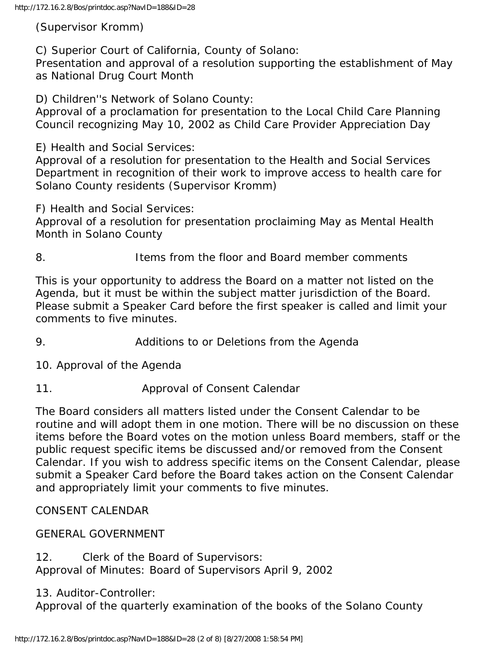(Supervisor Kromm)

C) Superior Court of California, County of Solano:

Presentation and approval of a resolution supporting the establishment of May as National Drug Court Month

D) Children''s Network of Solano County:

Approval of a proclamation for presentation to the Local Child Care Planning Council recognizing May 10, 2002 as Child Care Provider Appreciation Day

E) Health and Social Services:

Approval of a resolution for presentation to the Health and Social Services Department in recognition of their work to improve access to health care for Solano County residents (Supervisor Kromm)

F) Health and Social Services:

Approval of a resolution for presentation proclaiming May as Mental Health Month in Solano County

8. Items from the floor and Board member comments

This is your opportunity to address the Board on a matter not listed on the Agenda, but it must be within the subject matter jurisdiction of the Board. Please submit a Speaker Card before the first speaker is called and limit your comments to five minutes.

9. Additions to or Deletions from the Agenda

10. Approval of the Agenda

11. Approval of Consent Calendar

The Board considers all matters listed under the Consent Calendar to be routine and will adopt them in one motion. There will be no discussion on these items before the Board votes on the motion unless Board members, staff or the public request specific items be discussed and/or removed from the Consent Calendar. If you wish to address specific items on the Consent Calendar, please submit a Speaker Card before the Board takes action on the Consent Calendar and appropriately limit your comments to five minutes.

CONSENT CALENDAR

GENERAL GOVERNMENT

12. Clerk of the Board of Supervisors: Approval of Minutes: Board of Supervisors April 9, 2002

13. Auditor-Controller:

Approval of the quarterly examination of the books of the Solano County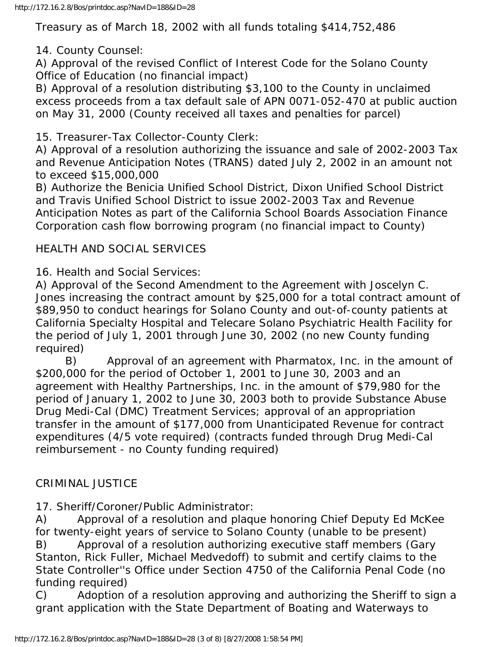Treasury as of March 18, 2002 with all funds totaling \$414,752,486

14. County Counsel:

A) Approval of the revised Conflict of Interest Code for the Solano County Office of Education (no financial impact)

B) Approval of a resolution distributing \$3,100 to the County in unclaimed excess proceeds from a tax default sale of APN 0071-052-470 at public auction on May 31, 2000 (County received all taxes and penalties for parcel)

15. Treasurer-Tax Collector-County Clerk:

A) Approval of a resolution authorizing the issuance and sale of 2002-2003 Tax and Revenue Anticipation Notes (TRANS) dated July 2, 2002 in an amount not to exceed \$15,000,000

B) Authorize the Benicia Unified School District, Dixon Unified School District and Travis Unified School District to issue 2002-2003 Tax and Revenue Anticipation Notes as part of the California School Boards Association Finance Corporation cash flow borrowing program (no financial impact to County)

## HEALTH AND SOCIAL SERVICES

16. Health and Social Services:

A) Approval of the Second Amendment to the Agreement with Joscelyn C. Jones increasing the contract amount by \$25,000 for a total contract amount of \$89,950 to conduct hearings for Solano County and out-of-county patients at California Specialty Hospital and Telecare Solano Psychiatric Health Facility for the period of July 1, 2001 through June 30, 2002 (no new County funding required)

 B) Approval of an agreement with Pharmatox, Inc. in the amount of \$200,000 for the period of October 1, 2001 to June 30, 2003 and an agreement with Healthy Partnerships, Inc. in the amount of \$79,980 for the period of January 1, 2002 to June 30, 2003 both to provide Substance Abuse Drug Medi-Cal (DMC) Treatment Services; approval of an appropriation transfer in the amount of \$177,000 from Unanticipated Revenue for contract expenditures (4/5 vote required) (contracts funded through Drug Medi-Cal reimbursement - no County funding required)

## CRIMINAL JUSTICE

17. Sheriff/Coroner/Public Administrator:

A) Approval of a resolution and plaque honoring Chief Deputy Ed McKee for twenty-eight years of service to Solano County (unable to be present)

B) Approval of a resolution authorizing executive staff members (Gary Stanton, Rick Fuller, Michael Medvedoff) to submit and certify claims to the State Controller''s Office under Section 4750 of the California Penal Code (no funding required)

C) Adoption of a resolution approving and authorizing the Sheriff to sign a grant application with the State Department of Boating and Waterways to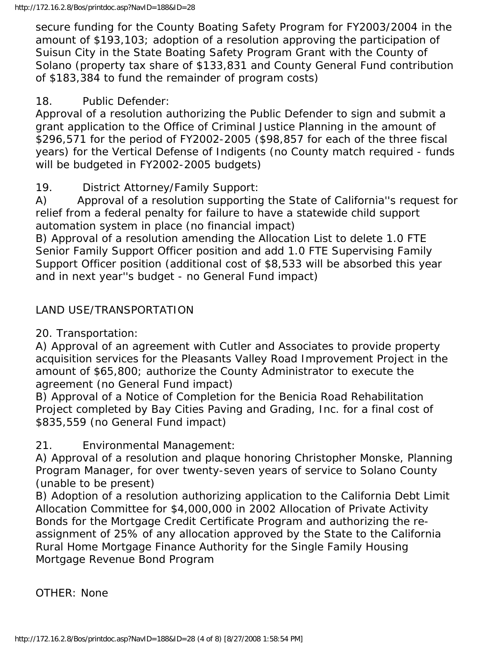secure funding for the County Boating Safety Program for FY2003/2004 in the amount of \$193,103; adoption of a resolution approving the participation of Suisun City in the State Boating Safety Program Grant with the County of Solano (property tax share of \$133,831 and County General Fund contribution of \$183,384 to fund the remainder of program costs)

### 18. Public Defender:

Approval of a resolution authorizing the Public Defender to sign and submit a grant application to the Office of Criminal Justice Planning in the amount of \$296,571 for the period of FY2002-2005 (\$98,857 for each of the three fiscal years) for the Vertical Defense of Indigents (no County match required - funds will be budgeted in FY2002-2005 budgets)

## 19. District Attorney/Family Support:

A) Approval of a resolution supporting the State of California''s request for relief from a federal penalty for failure to have a statewide child support automation system in place (no financial impact)

B) Approval of a resolution amending the Allocation List to delete 1.0 FTE Senior Family Support Officer position and add 1.0 FTE Supervising Family Support Officer position (additional cost of \$8,533 will be absorbed this year and in next year''s budget - no General Fund impact)

## LAND USE/TRANSPORTATION

20. Transportation:

A) Approval of an agreement with Cutler and Associates to provide property acquisition services for the Pleasants Valley Road Improvement Project in the amount of \$65,800; authorize the County Administrator to execute the agreement (no General Fund impact)

B) Approval of a Notice of Completion for the Benicia Road Rehabilitation Project completed by Bay Cities Paving and Grading, Inc. for a final cost of \$835,559 (no General Fund impact)

21. Environmental Management:

A) Approval of a resolution and plaque honoring Christopher Monske, Planning Program Manager, for over twenty-seven years of service to Solano County (unable to be present)

B) Adoption of a resolution authorizing application to the California Debt Limit Allocation Committee for \$4,000,000 in 2002 Allocation of Private Activity Bonds for the Mortgage Credit Certificate Program and authorizing the reassignment of 25% of any allocation approved by the State to the California Rural Home Mortgage Finance Authority for the Single Family Housing Mortgage Revenue Bond Program

OTHER: None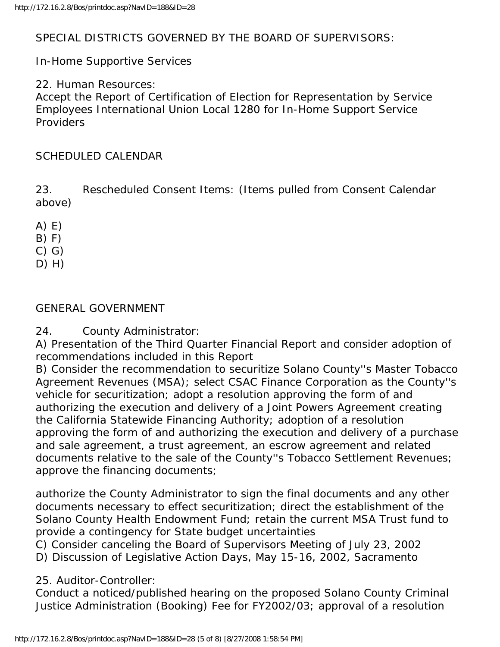### SPECIAL DISTRICTS GOVERNED BY THE BOARD OF SUPERVISORS:

In-Home Supportive Services

22. Human Resources:

Accept the Report of Certification of Election for Representation by Service Employees International Union Local 1280 for In-Home Support Service Providers

### SCHEDULED CALENDAR

23. Rescheduled Consent Items: (Items pulled from Consent Calendar above)

- A) E)
- $B) F)$
- C) G)
- D) H)

### GENERAL GOVERNMENT

24. County Administrator:

A) Presentation of the Third Quarter Financial Report and consider adoption of recommendations included in this Report

B) Consider the recommendation to securitize Solano County''s Master Tobacco Agreement Revenues (MSA); select CSAC Finance Corporation as the County''s vehicle for securitization; adopt a resolution approving the form of and authorizing the execution and delivery of a Joint Powers Agreement creating the California Statewide Financing Authority; adoption of a resolution approving the form of and authorizing the execution and delivery of a purchase and sale agreement, a trust agreement, an escrow agreement and related documents relative to the sale of the County''s Tobacco Settlement Revenues; approve the financing documents;

authorize the County Administrator to sign the final documents and any other documents necessary to effect securitization; direct the establishment of the Solano County Health Endowment Fund; retain the current MSA Trust fund to provide a contingency for State budget uncertainties

C) Consider canceling the Board of Supervisors Meeting of July 23, 2002

D) Discussion of Legislative Action Days, May 15-16, 2002, Sacramento

### 25. Auditor-Controller:

Conduct a noticed/published hearing on the proposed Solano County Criminal Justice Administration (Booking) Fee for FY2002/03; approval of a resolution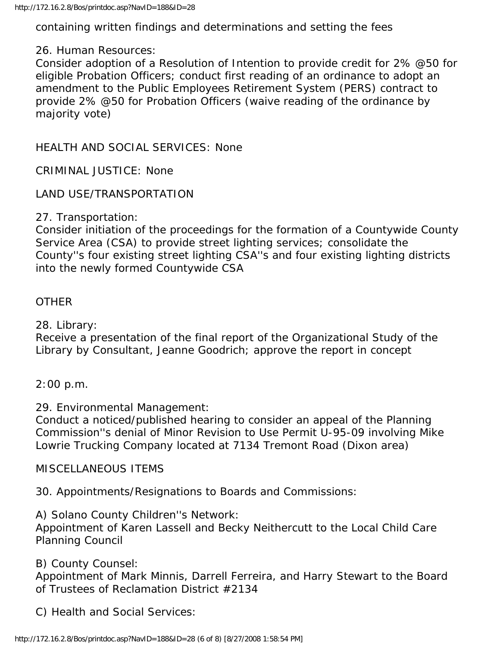containing written findings and determinations and setting the fees

#### 26. Human Resources:

Consider adoption of a Resolution of Intention to provide credit for 2% @50 for eligible Probation Officers; conduct first reading of an ordinance to adopt an amendment to the Public Employees Retirement System (PERS) contract to provide 2% @50 for Probation Officers (waive reading of the ordinance by majority vote)

HEALTH AND SOCIAL SERVICES: None

CRIMINAL JUSTICE: None

LAND USE/TRANSPORTATION

#### 27. Transportation:

Consider initiation of the proceedings for the formation of a Countywide County Service Area (CSA) to provide street lighting services; consolidate the County''s four existing street lighting CSA''s and four existing lighting districts into the newly formed Countywide CSA

#### **OTHER**

28. Library:

Receive a presentation of the final report of the Organizational Study of the Library by Consultant, Jeanne Goodrich; approve the report in concept

#### 2:00 p.m.

### 29. Environmental Management:

Conduct a noticed/published hearing to consider an appeal of the Planning Commission''s denial of Minor Revision to Use Permit U-95-09 involving Mike Lowrie Trucking Company located at 7134 Tremont Road (Dixon area)

### MISCELLANEOUS ITEMS

30. Appointments/Resignations to Boards and Commissions:

### A) Solano County Children''s Network:

Appointment of Karen Lassell and Becky Neithercutt to the Local Child Care Planning Council

### B) County Counsel:

Appointment of Mark Minnis, Darrell Ferreira, and Harry Stewart to the Board of Trustees of Reclamation District #2134

C) Health and Social Services: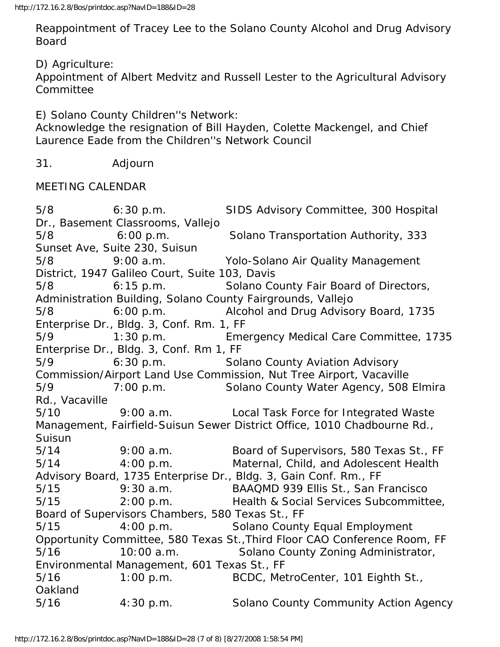Reappointment of Tracey Lee to the Solano County Alcohol and Drug Advisory Board

D) Agriculture:

Appointment of Albert Medvitz and Russell Lester to the Agricultural Advisory **Committee** 

E) Solano County Children''s Network:

Acknowledge the resignation of Bill Hayden, Colette Mackengel, and Chief Laurence Eade from the Children''s Network Council

31. Adjourn

MEETING CALENDAR

5/8 6:30 p.m. SIDS Advisory Committee, 300 Hospital Dr., Basement Classrooms, Vallejo 5/8 6:00 p.m. Solano Transportation Authority, 333 Sunset Ave, Suite 230, Suisun 5/8 9:00 a.m. Yolo-Solano Air Quality Management District, 1947 Galileo Court, Suite 103, Davis 5/8 6:15 p.m. Solano County Fair Board of Directors, Administration Building, Solano County Fairgrounds, Vallejo 5/8 6:00 p.m. Alcohol and Drug Advisory Board, 1735 Enterprise Dr., Bldg. 3, Conf. Rm. 1, FF 5/9 1:30 p.m. Emergency Medical Care Committee, 1735 Enterprise Dr., Bldg. 3, Conf. Rm 1, FF 5/9 6:30 p.m. Solano County Aviation Advisory Commission/Airport Land Use Commission, Nut Tree Airport, Vacaville 5/9 7:00 p.m. Solano County Water Agency, 508 Elmira Rd., Vacaville 5/10 9:00 a.m. Local Task Force for Integrated Waste Management, Fairfield-Suisun Sewer District Office, 1010 Chadbourne Rd., Suisun 5/14 9:00 a.m. Board of Supervisors, 580 Texas St., FF 5/14 4:00 p.m. Maternal, Child, and Adolescent Health Advisory Board, 1735 Enterprise Dr., Bldg. 3, Gain Conf. Rm., FF 5/15 9:30 a.m. BAAQMD 939 Ellis St., San Francisco 5/15 2:00 p.m. Health & Social Services Subcommittee, Board of Supervisors Chambers, 580 Texas St., FF 5/15 4:00 p.m. Solano County Equal Employment Opportunity Committee, 580 Texas St.,Third Floor CAO Conference Room, FF 5/16 10:00 a.m. Solano County Zoning Administrator, Environmental Management, 601 Texas St., FF 5/16 1:00 p.m. BCDC, MetroCenter, 101 Eighth St., Oakland 5/16 4:30 p.m. Solano County Community Action Agency